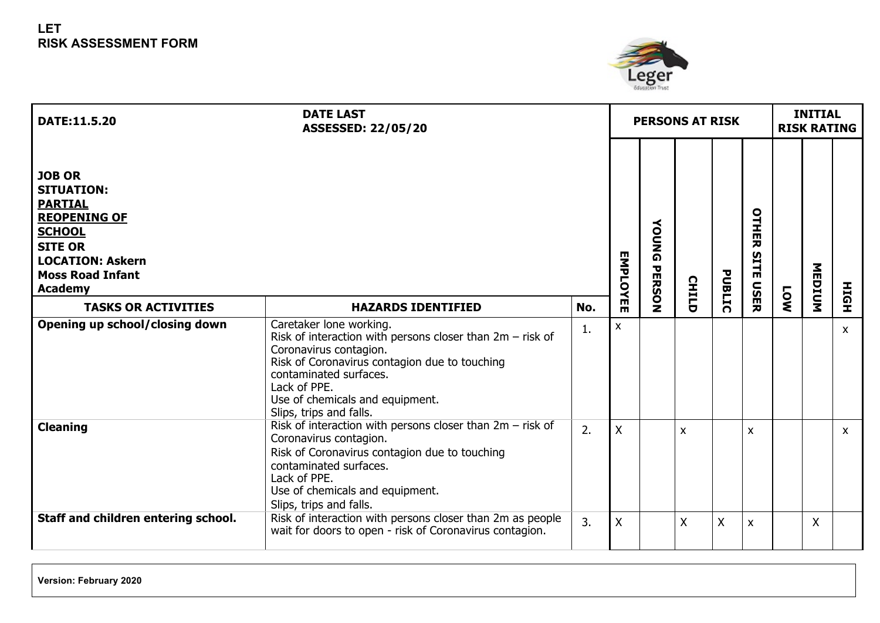

| DATE:11.5.20                                                                                                                                                                           | <b>DATE LAST</b><br><b>ASSESSED: 22/05/20</b>                                                                                                                                                                                                                             |                |              |                 | <b>PERSONS AT RISK</b> |        |                              |            | <b>INITIAL</b><br><b>RISK RATING</b> |                 |
|----------------------------------------------------------------------------------------------------------------------------------------------------------------------------------------|---------------------------------------------------------------------------------------------------------------------------------------------------------------------------------------------------------------------------------------------------------------------------|----------------|--------------|-----------------|------------------------|--------|------------------------------|------------|--------------------------------------|-----------------|
| <b>JOB OR</b><br><b>SITUATION:</b><br><b>PARTIAL</b><br><b>REOPENING OF</b><br><b>SCHOOL</b><br><b>SITE OR</b><br><b>LOCATION: Askern</b><br><b>Moss Road Infant</b><br><b>Academy</b> |                                                                                                                                                                                                                                                                           |                | EMPLOY       | YOUNG<br>PERSON | <b>CHILD</b>           | PUBLIC | OTHER<br>STTE<br><b>USER</b> |            | <b>MEDIUM</b>                        |                 |
| <b>TASKS OR ACTIVITIES</b>                                                                                                                                                             | <b>HAZARDS IDENTIFIED</b>                                                                                                                                                                                                                                                 | No.            | m<br>m       |                 |                        |        |                              | <b>NOT</b> |                                      | H <sub>5H</sub> |
| Opening up school/closing down                                                                                                                                                         | Caretaker lone working.<br>Risk of interaction with persons closer than $2m - risk$ of<br>Coronavirus contagion.<br>Risk of Coronavirus contagion due to touching<br>contaminated surfaces.<br>Lack of PPE.<br>Use of chemicals and equipment.<br>Slips, trips and falls. | $\mathbf{1}$ . | $\mathsf{x}$ |                 |                        |        |                              |            |                                      | $\mathsf{x}$    |
| <b>Cleaning</b>                                                                                                                                                                        | Risk of interaction with persons closer than $2m - risk$ of<br>Coronavirus contagion.<br>Risk of Coronavirus contagion due to touching<br>contaminated surfaces.<br>Lack of PPE.<br>Use of chemicals and equipment.<br>Slips, trips and falls.                            | 2.             | $\mathsf{X}$ |                 | $\pmb{\chi}$           |        | $\pmb{\times}$               |            |                                      | $\mathsf{x}$    |
| Staff and children entering school.                                                                                                                                                    | Risk of interaction with persons closer than 2m as people<br>wait for doors to open - risk of Coronavirus contagion.                                                                                                                                                      | 3.             | $\sf X$      |                 | $\sf X$                | X      | X                            |            | X                                    |                 |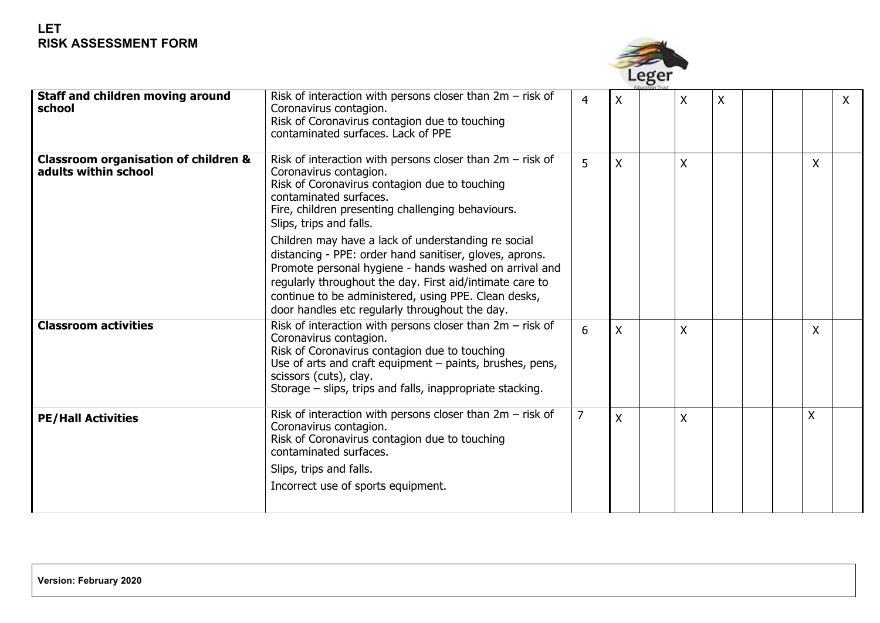

|                                                                         |                                                                                                                                                                                                                                                                                                                                                |                |                           | <b>Education Trust</b> |                         |   |  |                           |              |
|-------------------------------------------------------------------------|------------------------------------------------------------------------------------------------------------------------------------------------------------------------------------------------------------------------------------------------------------------------------------------------------------------------------------------------|----------------|---------------------------|------------------------|-------------------------|---|--|---------------------------|--------------|
| <b>Staff and children moving around</b><br>school                       | Risk of interaction with persons closer than $2m - risk$ of<br>Coronavirus contagion.<br>Risk of Coronavirus contagion due to touching<br>contaminated surfaces. Lack of PPE                                                                                                                                                                   | $\overline{4}$ | $\sf X$                   |                        | X                       | X |  |                           | $\mathsf{X}$ |
| <b>Classroom organisation of children &amp;</b><br>adults within school | Risk of interaction with persons closer than $2m - risk$ of<br>Coronavirus contagion.<br>Risk of Coronavirus contagion due to touching<br>contaminated surfaces.<br>Fire, children presenting challenging behaviours.<br>Slips, trips and falls.                                                                                               | 5              | X                         |                        | X                       |   |  | $\boldsymbol{\mathsf{X}}$ |              |
|                                                                         | Children may have a lack of understanding re social<br>distancing - PPE: order hand sanitiser, gloves, aprons.<br>Promote personal hygiene - hands washed on arrival and<br>regularly throughout the day. First aid/intimate care to<br>continue to be administered, using PPE. Clean desks,<br>door handles etc regularly throughout the day. |                |                           |                        |                         |   |  |                           |              |
| <b>Classroom activities</b>                                             | Risk of interaction with persons closer than $2m - risk$ of<br>Coronavirus contagion.<br>Risk of Coronavirus contagion due to touching<br>Use of arts and craft equipment $-$ paints, brushes, pens,<br>scissors (cuts), clay.<br>Storage – slips, trips and falls, inappropriate stacking.                                                    | 6              | $\boldsymbol{\mathsf{X}}$ |                        | $\overline{\mathsf{X}}$ |   |  | $\boldsymbol{\mathsf{X}}$ |              |
| <b>PE/Hall Activities</b>                                               | Risk of interaction with persons closer than $2m - risk$ of<br>Coronavirus contagion.<br>Risk of Coronavirus contagion due to touching<br>contaminated surfaces.<br>Slips, trips and falls.                                                                                                                                                    | $\overline{7}$ | $\mathsf{X}$              |                        | X                       |   |  | $\sf X$                   |              |
|                                                                         | Incorrect use of sports equipment.                                                                                                                                                                                                                                                                                                             |                |                           |                        |                         |   |  |                           |              |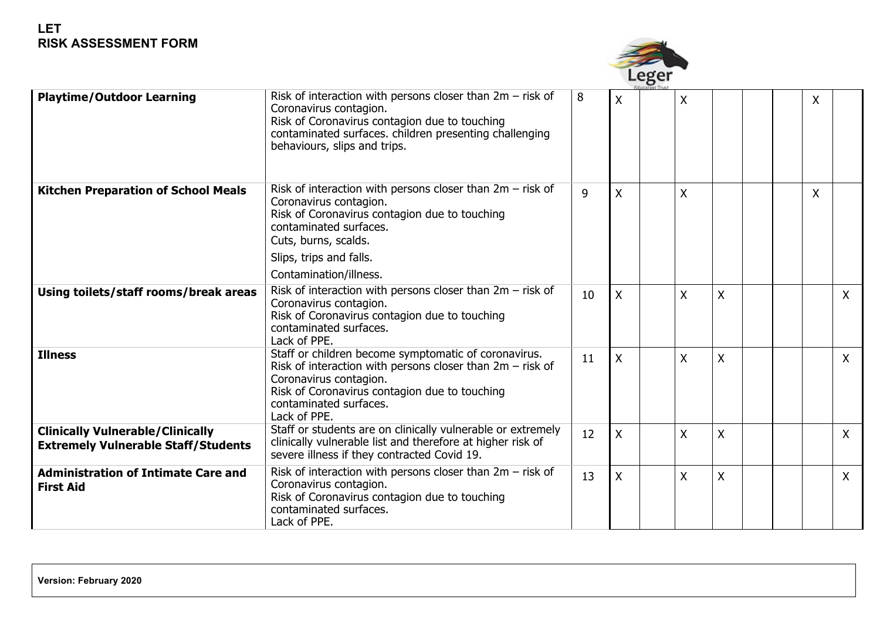

|                                                                                       |                                                                                                                                                                                                                                               |              |              | <b>Education Trust</b> |                         |              |  |   |              |
|---------------------------------------------------------------------------------------|-----------------------------------------------------------------------------------------------------------------------------------------------------------------------------------------------------------------------------------------------|--------------|--------------|------------------------|-------------------------|--------------|--|---|--------------|
| <b>Playtime/Outdoor Learning</b>                                                      | Risk of interaction with persons closer than $2m - risk$ of<br>Coronavirus contagion.<br>Risk of Coronavirus contagion due to touching<br>contaminated surfaces. children presenting challenging<br>behaviours, slips and trips.              | 8            | $\mathsf{X}$ |                        | $\sf X$                 |              |  | X |              |
| <b>Kitchen Preparation of School Meals</b>                                            | Risk of interaction with persons closer than $2m - risk$ of<br>Coronavirus contagion.<br>Risk of Coronavirus contagion due to touching<br>contaminated surfaces.<br>Cuts, burns, scalds.<br>Slips, trips and falls.<br>Contamination/illness. | $\mathbf{q}$ | X.           |                        | $\sf X$                 |              |  | X |              |
| Using toilets/staff rooms/break areas                                                 | Risk of interaction with persons closer than $2m - risk$ of<br>Coronavirus contagion.<br>Risk of Coronavirus contagion due to touching<br>contaminated surfaces.<br>Lack of PPE.                                                              | 10           | $\mathsf{X}$ |                        | $\mathsf{X}$            | X            |  |   | $\mathsf{X}$ |
| <b>Illness</b>                                                                        | Staff or children become symptomatic of coronavirus.<br>Risk of interaction with persons closer than $2m - risk$ of<br>Coronavirus contagion.<br>Risk of Coronavirus contagion due to touching<br>contaminated surfaces.<br>Lack of PPE.      | 11           | $\mathsf{X}$ |                        | $\overline{\mathsf{X}}$ | $\mathsf{X}$ |  |   | $\mathsf{X}$ |
| <b>Clinically Vulnerable/Clinically</b><br><b>Extremely Vulnerable Staff/Students</b> | Staff or students are on clinically vulnerable or extremely<br>clinically vulnerable list and therefore at higher risk of<br>severe illness if they contracted Covid 19.                                                                      | 12           | $\mathsf{X}$ |                        | X                       | X            |  |   | $\mathsf{X}$ |
| <b>Administration of Intimate Care and</b><br><b>First Aid</b>                        | Risk of interaction with persons closer than $2m - risk$ of<br>Coronavirus contagion.<br>Risk of Coronavirus contagion due to touching<br>contaminated surfaces.<br>Lack of PPE.                                                              | 13           | $\mathsf{X}$ |                        | $\overline{\mathsf{X}}$ | X            |  |   | $\mathsf{X}$ |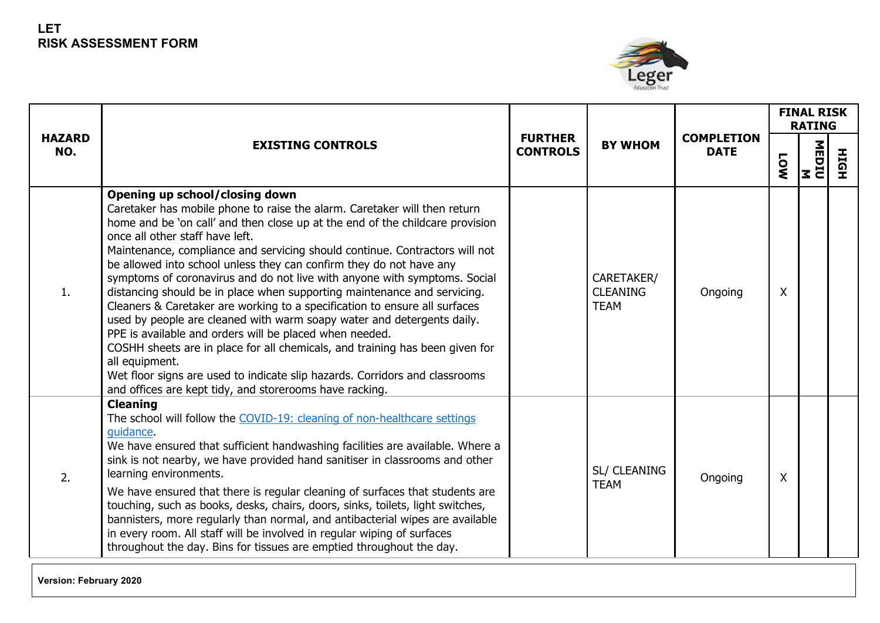

|                      |                                                                                                                                                                                                                                                                                                                                                                                                                                                                                                                                                                                                                                                                                                                                                                                                                                                                                                                                                                                                               |                                   |                                              |                                  | <b>FINAL RISK</b> | <b>RATING</b>  |      |
|----------------------|---------------------------------------------------------------------------------------------------------------------------------------------------------------------------------------------------------------------------------------------------------------------------------------------------------------------------------------------------------------------------------------------------------------------------------------------------------------------------------------------------------------------------------------------------------------------------------------------------------------------------------------------------------------------------------------------------------------------------------------------------------------------------------------------------------------------------------------------------------------------------------------------------------------------------------------------------------------------------------------------------------------|-----------------------------------|----------------------------------------------|----------------------------------|-------------------|----------------|------|
| <b>HAZARD</b><br>NO. | <b>EXISTING CONTROLS</b>                                                                                                                                                                                                                                                                                                                                                                                                                                                                                                                                                                                                                                                                                                                                                                                                                                                                                                                                                                                      | <b>FURTHER</b><br><b>CONTROLS</b> | <b>BY WHOM</b>                               | <b>COMPLETION</b><br><b>DATE</b> | <b>NOT</b>        | NEDIU<br>UEDIU | HĐIH |
| 1.                   | Opening up school/closing down<br>Caretaker has mobile phone to raise the alarm. Caretaker will then return<br>home and be 'on call' and then close up at the end of the childcare provision<br>once all other staff have left.<br>Maintenance, compliance and servicing should continue. Contractors will not<br>be allowed into school unless they can confirm they do not have any<br>symptoms of coronavirus and do not live with anyone with symptoms. Social<br>distancing should be in place when supporting maintenance and servicing.<br>Cleaners & Caretaker are working to a specification to ensure all surfaces<br>used by people are cleaned with warm soapy water and detergents daily.<br>PPE is available and orders will be placed when needed.<br>COSHH sheets are in place for all chemicals, and training has been given for<br>all equipment.<br>Wet floor signs are used to indicate slip hazards. Corridors and classrooms<br>and offices are kept tidy, and storerooms have racking. |                                   | CARETAKER/<br><b>CLEANING</b><br><b>TEAM</b> | Ongoing                          | $\mathsf{X}$      |                |      |
| 2.                   | <b>Cleaning</b><br>The school will follow the COVID-19: cleaning of non-healthcare settings<br>quidance.<br>We have ensured that sufficient handwashing facilities are available. Where a<br>sink is not nearby, we have provided hand sanitiser in classrooms and other<br>learning environments.<br>We have ensured that there is regular cleaning of surfaces that students are<br>touching, such as books, desks, chairs, doors, sinks, toilets, light switches,<br>bannisters, more regularly than normal, and antibacterial wipes are available<br>in every room. All staff will be involved in regular wiping of surfaces<br>throughout the day. Bins for tissues are emptied throughout the day.                                                                                                                                                                                                                                                                                                      |                                   | <b>SL/ CLEANING</b><br><b>TEAM</b>           | Ongoing                          | $\mathsf{X}$      |                |      |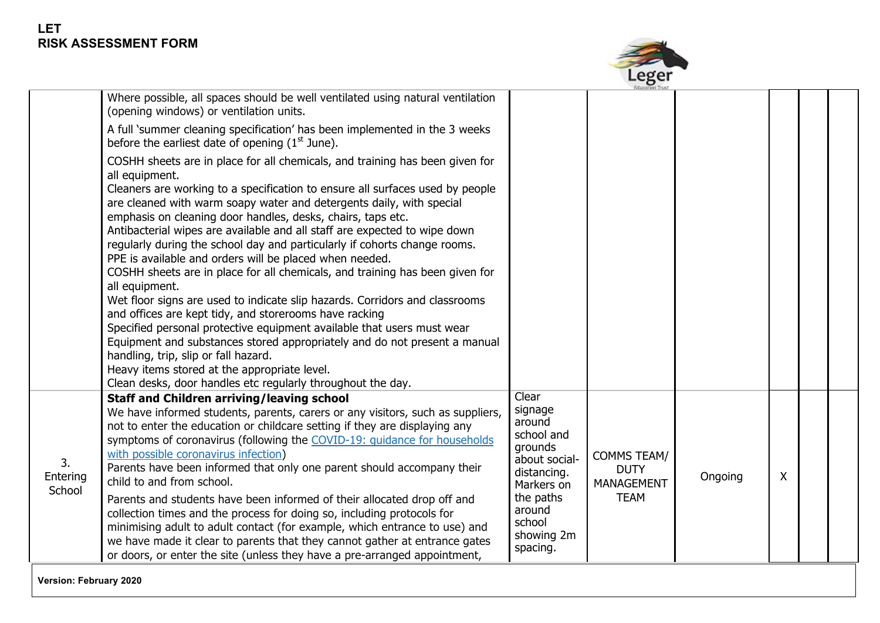

|                          |                                                                                                                                                                                                                                                                                                                                                                                                                                                                                                                                                                                                                                                                                                                                                                                                                                                                                                                                                                                                                                                                                                      |                                                                                                                                                              | Education Trust                                                       |         |   |  |  |  |  |
|--------------------------|------------------------------------------------------------------------------------------------------------------------------------------------------------------------------------------------------------------------------------------------------------------------------------------------------------------------------------------------------------------------------------------------------------------------------------------------------------------------------------------------------------------------------------------------------------------------------------------------------------------------------------------------------------------------------------------------------------------------------------------------------------------------------------------------------------------------------------------------------------------------------------------------------------------------------------------------------------------------------------------------------------------------------------------------------------------------------------------------------|--------------------------------------------------------------------------------------------------------------------------------------------------------------|-----------------------------------------------------------------------|---------|---|--|--|--|--|
|                          | Where possible, all spaces should be well ventilated using natural ventilation<br>(opening windows) or ventilation units.                                                                                                                                                                                                                                                                                                                                                                                                                                                                                                                                                                                                                                                                                                                                                                                                                                                                                                                                                                            |                                                                                                                                                              |                                                                       |         |   |  |  |  |  |
|                          | A full 'summer cleaning specification' has been implemented in the 3 weeks<br>before the earliest date of opening $(1st$ June).                                                                                                                                                                                                                                                                                                                                                                                                                                                                                                                                                                                                                                                                                                                                                                                                                                                                                                                                                                      |                                                                                                                                                              |                                                                       |         |   |  |  |  |  |
|                          | COSHH sheets are in place for all chemicals, and training has been given for<br>all equipment.<br>Cleaners are working to a specification to ensure all surfaces used by people<br>are cleaned with warm soapy water and detergents daily, with special<br>emphasis on cleaning door handles, desks, chairs, taps etc.<br>Antibacterial wipes are available and all staff are expected to wipe down<br>regularly during the school day and particularly if cohorts change rooms.<br>PPE is available and orders will be placed when needed.<br>COSHH sheets are in place for all chemicals, and training has been given for<br>all equipment.<br>Wet floor signs are used to indicate slip hazards. Corridors and classrooms<br>and offices are kept tidy, and storerooms have racking<br>Specified personal protective equipment available that users must wear<br>Equipment and substances stored appropriately and do not present a manual<br>handling, trip, slip or fall hazard.<br>Heavy items stored at the appropriate level.<br>Clean desks, door handles etc regularly throughout the day. |                                                                                                                                                              |                                                                       |         |   |  |  |  |  |
| 3.<br>Entering<br>School | <b>Staff and Children arriving/leaving school</b><br>We have informed students, parents, carers or any visitors, such as suppliers,<br>not to enter the education or childcare setting if they are displaying any<br>symptoms of coronavirus (following the COVID-19: quidance for households<br>with possible coronavirus infection)<br>Parents have been informed that only one parent should accompany their<br>child to and from school.<br>Parents and students have been informed of their allocated drop off and<br>collection times and the process for doing so, including protocols for<br>minimising adult to adult contact (for example, which entrance to use) and<br>we have made it clear to parents that they cannot gather at entrance gates<br>or doors, or enter the site (unless they have a pre-arranged appointment,                                                                                                                                                                                                                                                           | Clear<br>signage<br>around<br>school and<br>grounds<br>about social-<br>distancing.<br>Markers on<br>the paths<br>around<br>school<br>showing 2m<br>spacing. | <b>COMMS TEAM/</b><br><b>DUTY</b><br><b>MANAGEMENT</b><br><b>TEAM</b> | Ongoing | X |  |  |  |  |
| Version: February 2020   |                                                                                                                                                                                                                                                                                                                                                                                                                                                                                                                                                                                                                                                                                                                                                                                                                                                                                                                                                                                                                                                                                                      |                                                                                                                                                              |                                                                       |         |   |  |  |  |  |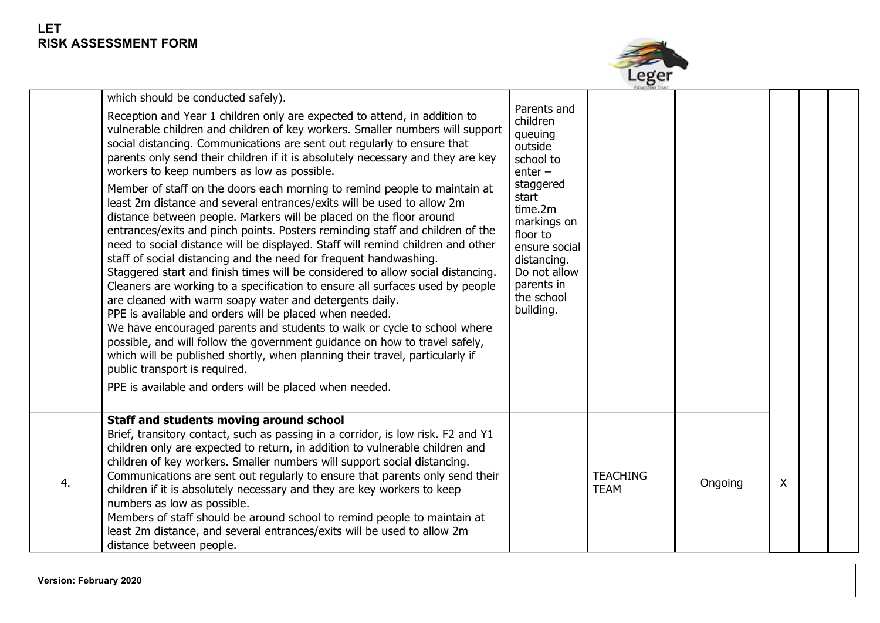

|    |                                                                                                                                                                                                                                                                                                                                                                                                                                                                                                                                                                                                                                                                                                                                                                                                                                                                                                                                                                                                                                                                                                                                                                                                                                                                                                                                                                                                                                                                                                                      |                                                                                                                                                                                                                              | <b>Education Trust</b>         |         |              |  |
|----|----------------------------------------------------------------------------------------------------------------------------------------------------------------------------------------------------------------------------------------------------------------------------------------------------------------------------------------------------------------------------------------------------------------------------------------------------------------------------------------------------------------------------------------------------------------------------------------------------------------------------------------------------------------------------------------------------------------------------------------------------------------------------------------------------------------------------------------------------------------------------------------------------------------------------------------------------------------------------------------------------------------------------------------------------------------------------------------------------------------------------------------------------------------------------------------------------------------------------------------------------------------------------------------------------------------------------------------------------------------------------------------------------------------------------------------------------------------------------------------------------------------------|------------------------------------------------------------------------------------------------------------------------------------------------------------------------------------------------------------------------------|--------------------------------|---------|--------------|--|
|    | which should be conducted safely).<br>Reception and Year 1 children only are expected to attend, in addition to<br>vulnerable children and children of key workers. Smaller numbers will support<br>social distancing. Communications are sent out regularly to ensure that<br>parents only send their children if it is absolutely necessary and they are key<br>workers to keep numbers as low as possible.<br>Member of staff on the doors each morning to remind people to maintain at<br>least 2m distance and several entrances/exits will be used to allow 2m<br>distance between people. Markers will be placed on the floor around<br>entrances/exits and pinch points. Posters reminding staff and children of the<br>need to social distance will be displayed. Staff will remind children and other<br>staff of social distancing and the need for frequent handwashing.<br>Staggered start and finish times will be considered to allow social distancing.<br>Cleaners are working to a specification to ensure all surfaces used by people<br>are cleaned with warm soapy water and detergents daily.<br>PPE is available and orders will be placed when needed.<br>We have encouraged parents and students to walk or cycle to school where<br>possible, and will follow the government guidance on how to travel safely,<br>which will be published shortly, when planning their travel, particularly if<br>public transport is required.<br>PPE is available and orders will be placed when needed. | Parents and<br>children<br>queuing<br>outside<br>school to<br>$enter -$<br>staggered<br>start<br>time.2m<br>markings on<br>floor to<br>ensure social<br>distancing.<br>Do not allow<br>parents in<br>the school<br>building. |                                |         |              |  |
| 4. | Staff and students moving around school<br>Brief, transitory contact, such as passing in a corridor, is low risk. F2 and Y1<br>children only are expected to return, in addition to vulnerable children and<br>children of key workers. Smaller numbers will support social distancing.<br>Communications are sent out regularly to ensure that parents only send their<br>children if it is absolutely necessary and they are key workers to keep<br>numbers as low as possible.<br>Members of staff should be around school to remind people to maintain at<br>least 2m distance, and several entrances/exits will be used to allow 2m<br>distance between people.                                                                                                                                                                                                                                                                                                                                                                                                                                                                                                                                                                                                                                                                                                                                                                                                                                                 |                                                                                                                                                                                                                              | <b>TEACHING</b><br><b>TEAM</b> | Ongoing | $\mathsf{X}$ |  |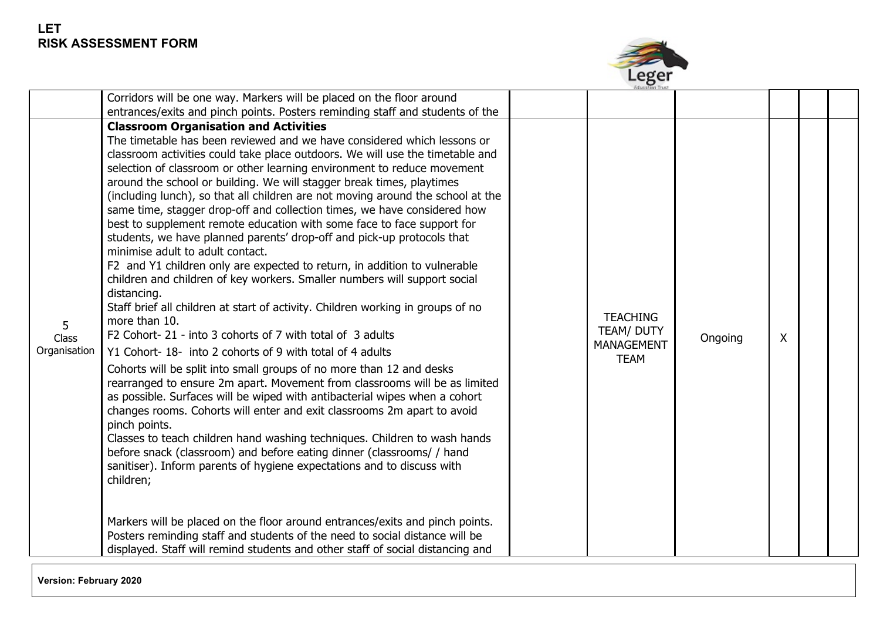

|                            |                                                                                                                                                                                                                                                                                                                                                                                                                                                                                                                                                                                                                                                                                                                                                                                                                                                                                                                                                                                                                                                                                                                                                                                                                                                                                                                                                                                                                                                                                                                                                                                                                                                                                                                                                                                                                                                                                                                                                          | <b>Education Trust</b>                                                   |         |   |  |
|----------------------------|----------------------------------------------------------------------------------------------------------------------------------------------------------------------------------------------------------------------------------------------------------------------------------------------------------------------------------------------------------------------------------------------------------------------------------------------------------------------------------------------------------------------------------------------------------------------------------------------------------------------------------------------------------------------------------------------------------------------------------------------------------------------------------------------------------------------------------------------------------------------------------------------------------------------------------------------------------------------------------------------------------------------------------------------------------------------------------------------------------------------------------------------------------------------------------------------------------------------------------------------------------------------------------------------------------------------------------------------------------------------------------------------------------------------------------------------------------------------------------------------------------------------------------------------------------------------------------------------------------------------------------------------------------------------------------------------------------------------------------------------------------------------------------------------------------------------------------------------------------------------------------------------------------------------------------------------------------|--------------------------------------------------------------------------|---------|---|--|
|                            | Corridors will be one way. Markers will be placed on the floor around<br>entrances/exits and pinch points. Posters reminding staff and students of the                                                                                                                                                                                                                                                                                                                                                                                                                                                                                                                                                                                                                                                                                                                                                                                                                                                                                                                                                                                                                                                                                                                                                                                                                                                                                                                                                                                                                                                                                                                                                                                                                                                                                                                                                                                                   |                                                                          |         |   |  |
| 5<br>Class<br>Organisation | <b>Classroom Organisation and Activities</b><br>The timetable has been reviewed and we have considered which lessons or<br>classroom activities could take place outdoors. We will use the timetable and<br>selection of classroom or other learning environment to reduce movement<br>around the school or building. We will stagger break times, playtimes<br>(including lunch), so that all children are not moving around the school at the<br>same time, stagger drop-off and collection times, we have considered how<br>best to supplement remote education with some face to face support for<br>students, we have planned parents' drop-off and pick-up protocols that<br>minimise adult to adult contact.<br>F2 and Y1 children only are expected to return, in addition to vulnerable<br>children and children of key workers. Smaller numbers will support social<br>distancing.<br>Staff brief all children at start of activity. Children working in groups of no<br>more than 10.<br>F2 Cohort- 21 - into 3 cohorts of 7 with total of 3 adults<br>Y1 Cohort-18- into 2 cohorts of 9 with total of 4 adults<br>Cohorts will be split into small groups of no more than 12 and desks<br>rearranged to ensure 2m apart. Movement from classrooms will be as limited<br>as possible. Surfaces will be wiped with antibacterial wipes when a cohort<br>changes rooms. Cohorts will enter and exit classrooms 2m apart to avoid<br>pinch points.<br>Classes to teach children hand washing techniques. Children to wash hands<br>before snack (classroom) and before eating dinner (classrooms/ / hand<br>sanitiser). Inform parents of hygiene expectations and to discuss with<br>children;<br>Markers will be placed on the floor around entrances/exits and pinch points.<br>Posters reminding staff and students of the need to social distance will be<br>displayed. Staff will remind students and other staff of social distancing and | <b>TEACHING</b><br><b>TEAM/ DUTY</b><br><b>MANAGEMENT</b><br><b>TEAM</b> | Ongoing | Χ |  |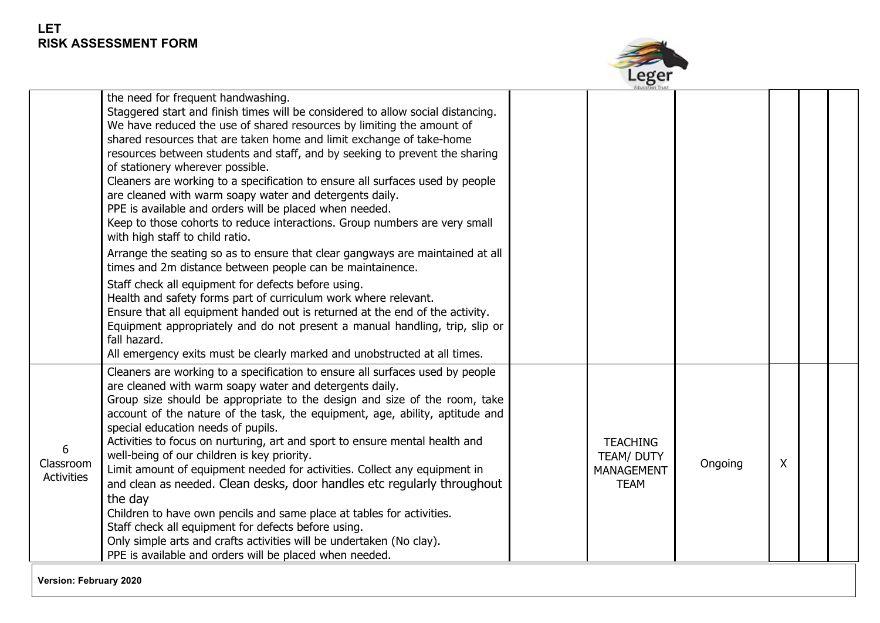

|                                     |                                                                                                                                                                                                                                                                                                                                                                                                                                                                                                                                                                                                                                                                                                                                                                                                                                                                                                                 | Education Trus                                                           |         |   |  |
|-------------------------------------|-----------------------------------------------------------------------------------------------------------------------------------------------------------------------------------------------------------------------------------------------------------------------------------------------------------------------------------------------------------------------------------------------------------------------------------------------------------------------------------------------------------------------------------------------------------------------------------------------------------------------------------------------------------------------------------------------------------------------------------------------------------------------------------------------------------------------------------------------------------------------------------------------------------------|--------------------------------------------------------------------------|---------|---|--|
|                                     | the need for frequent handwashing.<br>Staggered start and finish times will be considered to allow social distancing.<br>We have reduced the use of shared resources by limiting the amount of<br>shared resources that are taken home and limit exchange of take-home<br>resources between students and staff, and by seeking to prevent the sharing<br>of stationery wherever possible.<br>Cleaners are working to a specification to ensure all surfaces used by people<br>are cleaned with warm soapy water and detergents daily.<br>PPE is available and orders will be placed when needed.<br>Keep to those cohorts to reduce interactions. Group numbers are very small<br>with high staff to child ratio.<br>Arrange the seating so as to ensure that clear gangways are maintained at all<br>times and 2m distance between people can be maintainence.                                                 |                                                                          |         |   |  |
|                                     | Staff check all equipment for defects before using.<br>Health and safety forms part of curriculum work where relevant.<br>Ensure that all equipment handed out is returned at the end of the activity.<br>Equipment appropriately and do not present a manual handling, trip, slip or<br>fall hazard.<br>All emergency exits must be clearly marked and unobstructed at all times.                                                                                                                                                                                                                                                                                                                                                                                                                                                                                                                              |                                                                          |         |   |  |
| 6<br>Classroom<br><b>Activities</b> | Cleaners are working to a specification to ensure all surfaces used by people<br>are cleaned with warm soapy water and detergents daily.<br>Group size should be appropriate to the design and size of the room, take<br>account of the nature of the task, the equipment, age, ability, aptitude and<br>special education needs of pupils.<br>Activities to focus on nurturing, art and sport to ensure mental health and<br>well-being of our children is key priority.<br>Limit amount of equipment needed for activities. Collect any equipment in<br>and clean as needed. Clean desks, door handles etc regularly throughout<br>the day<br>Children to have own pencils and same place at tables for activities.<br>Staff check all equipment for defects before using.<br>Only simple arts and crafts activities will be undertaken (No clay).<br>PPE is available and orders will be placed when needed. | <b>TEACHING</b><br><b>TEAM/ DUTY</b><br><b>MANAGEMENT</b><br><b>TEAM</b> | Ongoing | X |  |
| <b>Version: February 2020</b>       |                                                                                                                                                                                                                                                                                                                                                                                                                                                                                                                                                                                                                                                                                                                                                                                                                                                                                                                 |                                                                          |         |   |  |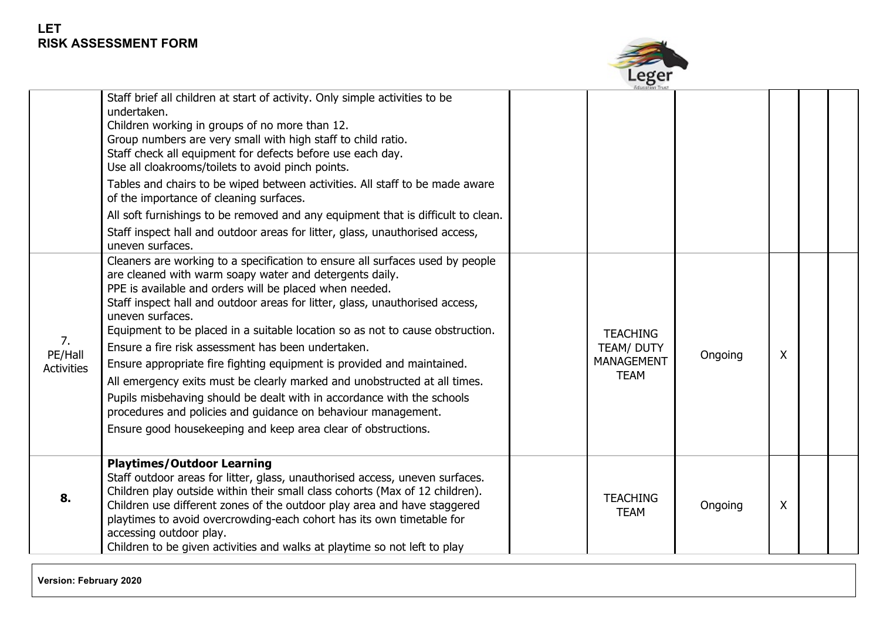

|                                    |                                                                                                                                                                                                                                                                                                                                                                                                                                                                                                                                                                                                                                                                                                                                                                                                                   | <b>Education Trust</b>                                            |         |              |  |
|------------------------------------|-------------------------------------------------------------------------------------------------------------------------------------------------------------------------------------------------------------------------------------------------------------------------------------------------------------------------------------------------------------------------------------------------------------------------------------------------------------------------------------------------------------------------------------------------------------------------------------------------------------------------------------------------------------------------------------------------------------------------------------------------------------------------------------------------------------------|-------------------------------------------------------------------|---------|--------------|--|
|                                    | Staff brief all children at start of activity. Only simple activities to be<br>undertaken.<br>Children working in groups of no more than 12.<br>Group numbers are very small with high staff to child ratio.<br>Staff check all equipment for defects before use each day.<br>Use all cloakrooms/toilets to avoid pinch points.<br>Tables and chairs to be wiped between activities. All staff to be made aware<br>of the importance of cleaning surfaces.<br>All soft furnishings to be removed and any equipment that is difficult to clean.<br>Staff inspect hall and outdoor areas for litter, glass, unauthorised access,                                                                                                                                                                                    |                                                                   |         |              |  |
|                                    | uneven surfaces.                                                                                                                                                                                                                                                                                                                                                                                                                                                                                                                                                                                                                                                                                                                                                                                                  |                                                                   |         |              |  |
| 7.<br>PE/Hall<br><b>Activities</b> | Cleaners are working to a specification to ensure all surfaces used by people<br>are cleaned with warm soapy water and detergents daily.<br>PPE is available and orders will be placed when needed.<br>Staff inspect hall and outdoor areas for litter, glass, unauthorised access,<br>uneven surfaces.<br>Equipment to be placed in a suitable location so as not to cause obstruction.<br>Ensure a fire risk assessment has been undertaken.<br>Ensure appropriate fire fighting equipment is provided and maintained.<br>All emergency exits must be clearly marked and unobstructed at all times.<br>Pupils misbehaving should be dealt with in accordance with the schools<br>procedures and policies and guidance on behaviour management.<br>Ensure good housekeeping and keep area clear of obstructions. | <b>TEACHING</b><br>TEAM/ DUTY<br><b>MANAGEMENT</b><br><b>TEAM</b> | Ongoing | X            |  |
| 8.                                 | <b>Playtimes/Outdoor Learning</b><br>Staff outdoor areas for litter, glass, unauthorised access, uneven surfaces.<br>Children play outside within their small class cohorts (Max of 12 children).<br>Children use different zones of the outdoor play area and have staggered<br>playtimes to avoid overcrowding-each cohort has its own timetable for<br>accessing outdoor play.<br>Children to be given activities and walks at playtime so not left to play                                                                                                                                                                                                                                                                                                                                                    | <b>TEACHING</b><br><b>TEAM</b>                                    | Ongoing | $\mathsf{X}$ |  |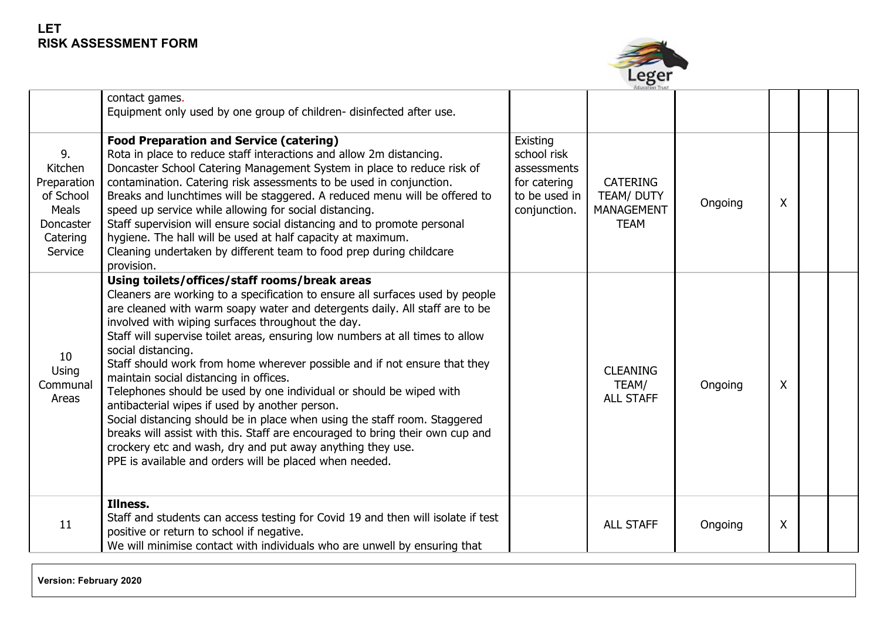

|                                                                                        |                                                                                                                                                                                                                                                                                                                                                                                                                                                                                                                                                                                                                                                                                                                                                                                                                                                                                                                  |                                                                                         | <b>Education Trust</b>                                                   |         |   |  |
|----------------------------------------------------------------------------------------|------------------------------------------------------------------------------------------------------------------------------------------------------------------------------------------------------------------------------------------------------------------------------------------------------------------------------------------------------------------------------------------------------------------------------------------------------------------------------------------------------------------------------------------------------------------------------------------------------------------------------------------------------------------------------------------------------------------------------------------------------------------------------------------------------------------------------------------------------------------------------------------------------------------|-----------------------------------------------------------------------------------------|--------------------------------------------------------------------------|---------|---|--|
|                                                                                        | contact games.<br>Equipment only used by one group of children-disinfected after use.                                                                                                                                                                                                                                                                                                                                                                                                                                                                                                                                                                                                                                                                                                                                                                                                                            |                                                                                         |                                                                          |         |   |  |
| 9.<br>Kitchen<br>Preparation<br>of School<br>Meals<br>Doncaster<br>Catering<br>Service | <b>Food Preparation and Service (catering)</b><br>Rota in place to reduce staff interactions and allow 2m distancing.<br>Doncaster School Catering Management System in place to reduce risk of<br>contamination. Catering risk assessments to be used in conjunction.<br>Breaks and lunchtimes will be staggered. A reduced menu will be offered to<br>speed up service while allowing for social distancing.<br>Staff supervision will ensure social distancing and to promote personal<br>hygiene. The hall will be used at half capacity at maximum.<br>Cleaning undertaken by different team to food prep during childcare<br>provision.                                                                                                                                                                                                                                                                    | Existing<br>school risk<br>assessments<br>for catering<br>to be used in<br>conjunction. | <b>CATERING</b><br><b>TEAM/ DUTY</b><br><b>MANAGEMENT</b><br><b>TEAM</b> | Ongoing | X |  |
| 10<br>Using<br>Communal<br>Areas                                                       | Using toilets/offices/staff rooms/break areas<br>Cleaners are working to a specification to ensure all surfaces used by people<br>are cleaned with warm soapy water and detergents daily. All staff are to be<br>involved with wiping surfaces throughout the day.<br>Staff will supervise toilet areas, ensuring low numbers at all times to allow<br>social distancing.<br>Staff should work from home wherever possible and if not ensure that they<br>maintain social distancing in offices.<br>Telephones should be used by one individual or should be wiped with<br>antibacterial wipes if used by another person.<br>Social distancing should be in place when using the staff room. Staggered<br>breaks will assist with this. Staff are encouraged to bring their own cup and<br>crockery etc and wash, dry and put away anything they use.<br>PPE is available and orders will be placed when needed. |                                                                                         | <b>CLEANING</b><br>TEAM/<br><b>ALL STAFF</b>                             | Ongoing | X |  |
| 11                                                                                     | Illness.<br>Staff and students can access testing for Covid 19 and then will isolate if test<br>positive or return to school if negative.<br>We will minimise contact with individuals who are unwell by ensuring that                                                                                                                                                                                                                                                                                                                                                                                                                                                                                                                                                                                                                                                                                           |                                                                                         | <b>ALL STAFF</b>                                                         | Ongoing | X |  |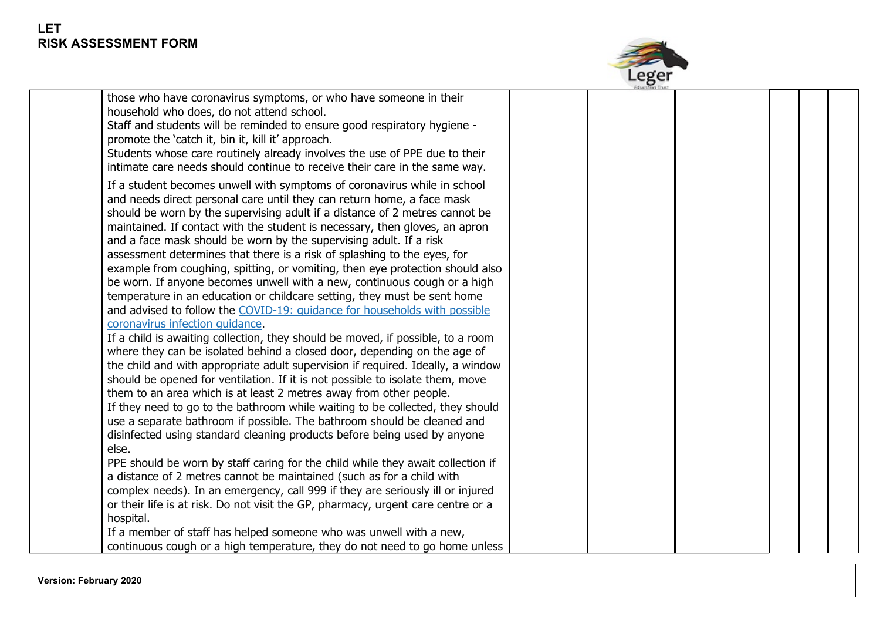

|                                                                                                                                                                                                                                                                                                                                                                                                                                                                                                                                                                                                                                                                                                                                                                                                                             | <b>Education Trust</b> |  |  |
|-----------------------------------------------------------------------------------------------------------------------------------------------------------------------------------------------------------------------------------------------------------------------------------------------------------------------------------------------------------------------------------------------------------------------------------------------------------------------------------------------------------------------------------------------------------------------------------------------------------------------------------------------------------------------------------------------------------------------------------------------------------------------------------------------------------------------------|------------------------|--|--|
| those who have coronavirus symptoms, or who have someone in their<br>household who does, do not attend school.<br>Staff and students will be reminded to ensure good respiratory hygiene -<br>promote the 'catch it, bin it, kill it' approach.<br>Students whose care routinely already involves the use of PPE due to their<br>intimate care needs should continue to receive their care in the same way.                                                                                                                                                                                                                                                                                                                                                                                                                 |                        |  |  |
| If a student becomes unwell with symptoms of coronavirus while in school<br>and needs direct personal care until they can return home, a face mask<br>should be worn by the supervising adult if a distance of 2 metres cannot be<br>maintained. If contact with the student is necessary, then gloves, an apron<br>and a face mask should be worn by the supervising adult. If a risk<br>assessment determines that there is a risk of splashing to the eyes, for<br>example from coughing, spitting, or vomiting, then eye protection should also<br>be worn. If anyone becomes unwell with a new, continuous cough or a high<br>temperature in an education or childcare setting, they must be sent home<br>and advised to follow the COVID-19: guidance for households with possible<br>coronavirus infection quidance. |                        |  |  |
| If a child is awaiting collection, they should be moved, if possible, to a room<br>where they can be isolated behind a closed door, depending on the age of<br>the child and with appropriate adult supervision if required. Ideally, a window<br>should be opened for ventilation. If it is not possible to isolate them, move<br>them to an area which is at least 2 metres away from other people.<br>If they need to go to the bathroom while waiting to be collected, they should<br>use a separate bathroom if possible. The bathroom should be cleaned and<br>disinfected using standard cleaning products before being used by anyone                                                                                                                                                                               |                        |  |  |
| else.<br>PPE should be worn by staff caring for the child while they await collection if<br>a distance of 2 metres cannot be maintained (such as for a child with<br>complex needs). In an emergency, call 999 if they are seriously ill or injured<br>or their life is at risk. Do not visit the GP, pharmacy, urgent care centre or a<br>hospital.<br>If a member of staff has helped someone who was unwell with a new,<br>continuous cough or a high temperature, they do not need to go home unless                                                                                                                                                                                                                                                                                                                    |                        |  |  |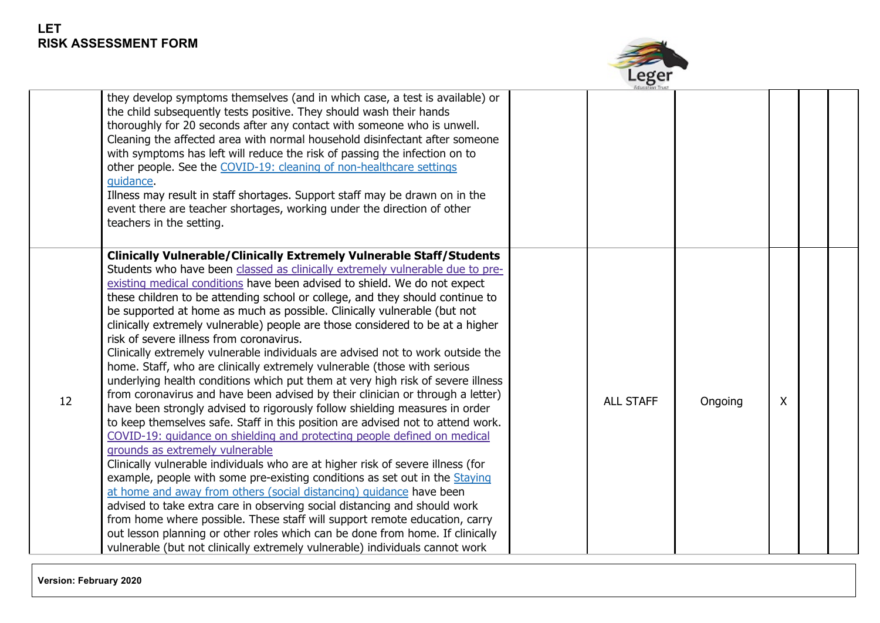

|    |                                                                                                                                                                                                                                                                                                                                                                                                                                                                                                                                                                                                                                                                                                                                                                                                                                                                                                                                                                                                                                                                                                                                                                                                                                                                                                                                                                                                                                                                                                                                                                                                                                                                                                                                | Education Trust  |         |   |  |
|----|--------------------------------------------------------------------------------------------------------------------------------------------------------------------------------------------------------------------------------------------------------------------------------------------------------------------------------------------------------------------------------------------------------------------------------------------------------------------------------------------------------------------------------------------------------------------------------------------------------------------------------------------------------------------------------------------------------------------------------------------------------------------------------------------------------------------------------------------------------------------------------------------------------------------------------------------------------------------------------------------------------------------------------------------------------------------------------------------------------------------------------------------------------------------------------------------------------------------------------------------------------------------------------------------------------------------------------------------------------------------------------------------------------------------------------------------------------------------------------------------------------------------------------------------------------------------------------------------------------------------------------------------------------------------------------------------------------------------------------|------------------|---------|---|--|
|    | they develop symptoms themselves (and in which case, a test is available) or<br>the child subsequently tests positive. They should wash their hands<br>thoroughly for 20 seconds after any contact with someone who is unwell.<br>Cleaning the affected area with normal household disinfectant after someone<br>with symptoms has left will reduce the risk of passing the infection on to<br>other people. See the COVID-19: cleaning of non-healthcare settings<br>quidance.<br>Illness may result in staff shortages. Support staff may be drawn on in the<br>event there are teacher shortages, working under the direction of other<br>teachers in the setting.                                                                                                                                                                                                                                                                                                                                                                                                                                                                                                                                                                                                                                                                                                                                                                                                                                                                                                                                                                                                                                                          |                  |         |   |  |
| 12 | <b>Clinically Vulnerable/Clinically Extremely Vulnerable Staff/Students</b><br>Students who have been classed as clinically extremely vulnerable due to pre-<br>existing medical conditions have been advised to shield. We do not expect<br>these children to be attending school or college, and they should continue to<br>be supported at home as much as possible. Clinically vulnerable (but not<br>clinically extremely vulnerable) people are those considered to be at a higher<br>risk of severe illness from coronavirus.<br>Clinically extremely vulnerable individuals are advised not to work outside the<br>home. Staff, who are clinically extremely vulnerable (those with serious<br>underlying health conditions which put them at very high risk of severe illness<br>from coronavirus and have been advised by their clinician or through a letter)<br>have been strongly advised to rigorously follow shielding measures in order<br>to keep themselves safe. Staff in this position are advised not to attend work.<br>COVID-19: guidance on shielding and protecting people defined on medical<br>grounds as extremely vulnerable<br>Clinically vulnerable individuals who are at higher risk of severe illness (for<br>example, people with some pre-existing conditions as set out in the Staying<br>at home and away from others (social distancing) quidance have been<br>advised to take extra care in observing social distancing and should work<br>from home where possible. These staff will support remote education, carry<br>out lesson planning or other roles which can be done from home. If clinically<br>vulnerable (but not clinically extremely vulnerable) individuals cannot work | <b>ALL STAFF</b> | Ongoing | X |  |